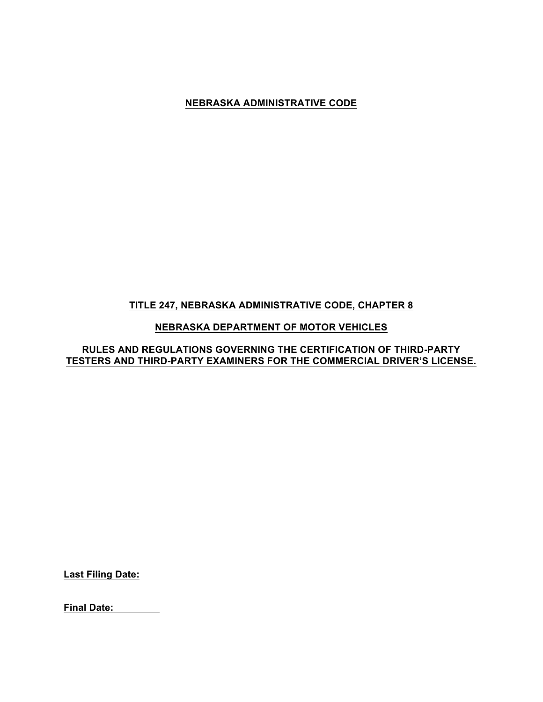# **TITLE 247, NEBRASKA ADMINISTRATIVE CODE, CHAPTER 8**

# **NEBRASKA DEPARTMENT OF MOTOR VEHICLES**

# **RULES AND REGULATIONS GOVERNING THE CERTIFICATION OF THIRD-PARTY TESTERS AND THIRD-PARTY EXAMINERS FOR THE COMMERCIAL DRIVER'S LICENSE.**

**Last Filing Date:**

**Final Date:**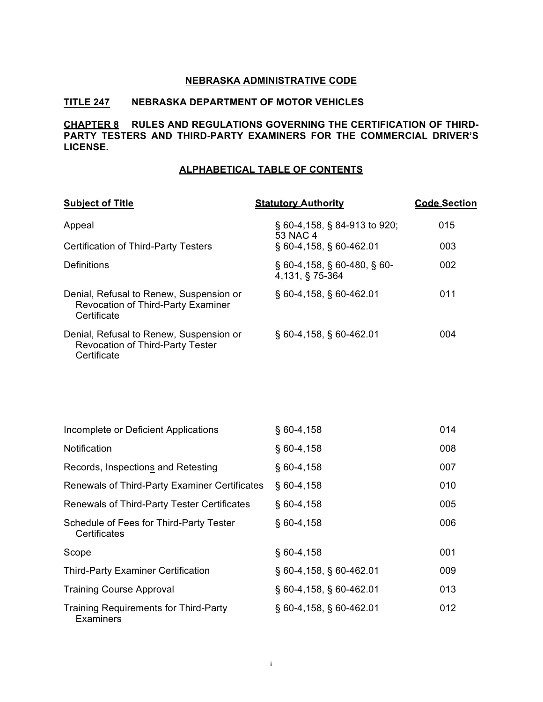# **TITLE 247 NEBRASKA DEPARTMENT OF MOTOR VEHICLES**

# **CHAPTER 8 RULES AND REGULATIONS GOVERNING THE CERTIFICATION OF THIRD-PARTY TESTERS AND THIRD-PARTY EXAMINERS FOR THE COMMERCIAL DRIVER'S LICENSE.**

#### **ALPHABETICAL TABLE OF CONTENTS**

| <b>Subject of Title</b>                                                                             | <b>Statutory Authority</b>                              | <b>Code Section</b> |
|-----------------------------------------------------------------------------------------------------|---------------------------------------------------------|---------------------|
| Appeal                                                                                              | § 60-4,158, § 84-913 to 920;<br>53 NAC 4                | 015                 |
| <b>Certification of Third-Party Testers</b>                                                         | $\S$ 60-4,158, $\S$ 60-462.01                           | 003                 |
| Definitions                                                                                         | $\S$ 60-4,158, $\S$ 60-480, $\S$ 60-<br>4,131, § 75-364 | 002                 |
| Denial, Refusal to Renew, Suspension or<br><b>Revocation of Third-Party Examiner</b><br>Certificate | $\S$ 60-4,158, $\S$ 60-462.01                           | 011                 |
| Denial, Refusal to Renew, Suspension or<br><b>Revocation of Third-Party Tester</b><br>Certificate   | $\S$ 60-4,158, $\S$ 60-462.01                           | 004                 |
| Incomplete or Deficient Applications                                                                | $§$ 60-4,158                                            | 014                 |

| Notification                                              | $$60-4,158$                   | 008 |
|-----------------------------------------------------------|-------------------------------|-----|
| Records, Inspections and Retesting                        | $§$ 60-4,158                  | 007 |
| Renewals of Third-Party Examiner Certificates             | $$60-4,158$                   | 010 |
| Renewals of Third-Party Tester Certificates               | $§$ 60-4,158                  | 005 |
| Schedule of Fees for Third-Party Tester<br>Certificates   | $$60-4,158$                   | 006 |
| Scope                                                     | $$60-4,158$                   | 001 |
| <b>Third-Party Examiner Certification</b>                 | § 60-4,158, § 60-462.01       | 009 |
| <b>Training Course Approval</b>                           | $\S$ 60-4,158, $\S$ 60-462.01 | 013 |
| <b>Training Requirements for Third-Party</b><br>Examiners | $\S$ 60-4,158, $\S$ 60-462.01 | 012 |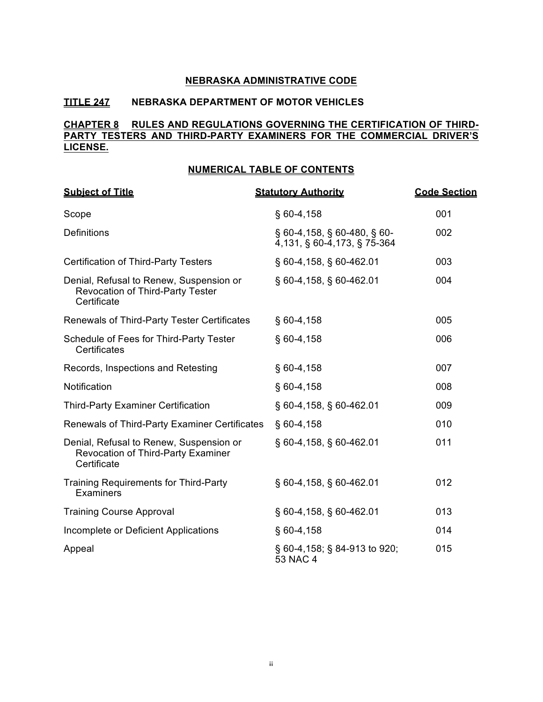# **TITLE 247 NEBRASKA DEPARTMENT OF MOTOR VEHICLES**

# **CHAPTER 8 RULES AND REGULATIONS GOVERNING THE CERTIFICATION OF THIRD-PARTY TESTERS AND THIRD-PARTY EXAMINERS FOR THE COMMERCIAL DRIVER'S LICENSE.**

#### **NUMERICAL TABLE OF CONTENTS**

| <b>Subject of Title</b>                                                                             | <b>Statutory Authority</b>                                          | <b>Code Section</b> |
|-----------------------------------------------------------------------------------------------------|---------------------------------------------------------------------|---------------------|
| Scope                                                                                               | $§$ 60-4,158                                                        | 001                 |
| <b>Definitions</b>                                                                                  | $\S$ 60-4,158, $\S$ 60-480, $\S$ 60-<br>4,131, § 60-4,173, § 75-364 | 002                 |
| <b>Certification of Third-Party Testers</b>                                                         | § 60-4,158, § 60-462.01                                             | 003                 |
| Denial, Refusal to Renew, Suspension or<br><b>Revocation of Third-Party Tester</b><br>Certificate   | § 60-4,158, § 60-462.01                                             | 004                 |
| Renewals of Third-Party Tester Certificates                                                         | $§$ 60-4,158                                                        | 005                 |
| Schedule of Fees for Third-Party Tester<br>Certificates                                             | $§$ 60-4,158                                                        | 006                 |
| Records, Inspections and Retesting                                                                  | $§$ 60-4,158                                                        | 007                 |
| Notification                                                                                        | $§$ 60-4,158                                                        | 008                 |
| <b>Third-Party Examiner Certification</b>                                                           | § 60-4,158, § 60-462.01                                             | 009                 |
| Renewals of Third-Party Examiner Certificates                                                       | $§$ 60-4,158                                                        | 010                 |
| Denial, Refusal to Renew, Suspension or<br><b>Revocation of Third-Party Examiner</b><br>Certificate | § 60-4,158, § 60-462.01                                             | 011                 |
| <b>Training Requirements for Third-Party</b><br>Examiners                                           | § 60-4,158, § 60-462.01                                             | 012                 |
| <b>Training Course Approval</b>                                                                     | $\S$ 60-4,158, $\S$ 60-462.01                                       | 013                 |
| Incomplete or Deficient Applications                                                                | $§$ 60-4,158                                                        | 014                 |
| Appeal                                                                                              | § 60-4,158; § 84-913 to 920;<br>53 NAC 4                            | 015                 |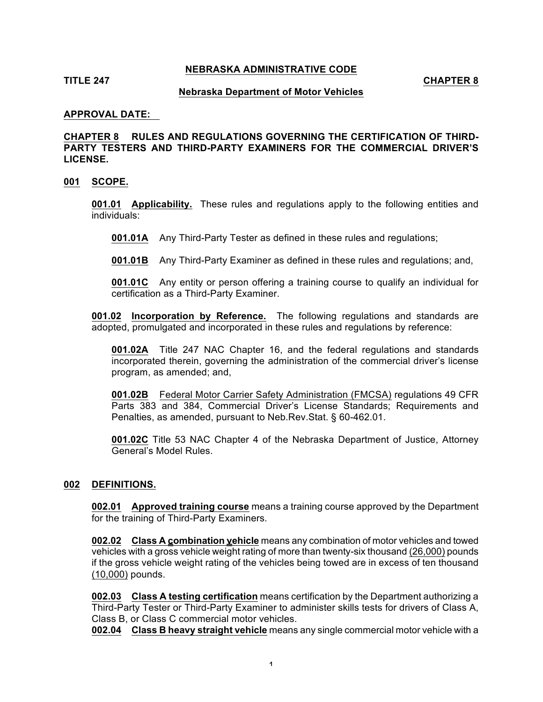### **TITLE 247 CHAPTER 8**

#### **Nebraska Department of Motor Vehicles**

#### **APPROVAL DATE:**

**CHAPTER 8 RULES AND REGULATIONS GOVERNING THE CERTIFICATION OF THIRD-PARTY TESTERS AND THIRD-PARTY EXAMINERS FOR THE COMMERCIAL DRIVER'S LICENSE.**

#### **001 SCOPE.**

**001.01 Applicability.** These rules and regulations apply to the following entities and individuals:

**001.01A** Any Third-Party Tester as defined in these rules and regulations;

**001.01B** Any Third-Party Examiner as defined in these rules and regulations; and,

**001.01C** Any entity or person offering a training course to qualify an individual for certification as a Third-Party Examiner.

**001.02 Incorporation by Reference.** The following regulations and standards are adopted, promulgated and incorporated in these rules and regulations by reference:

**001.02A** Title 247 NAC Chapter 16, and the federal regulations and standards incorporated therein, governing the administration of the commercial driver's license program, as amended; and,

**001.02B** Federal Motor Carrier Safety Administration (FMCSA) regulations 49 CFR Parts 383 and 384, Commercial Driver's License Standards; Requirements and Penalties, as amended, pursuant to Neb.Rev.Stat. § 60-462.01.

**001.02C** Title 53 NAC Chapter 4 of the Nebraska Department of Justice, Attorney General's Model Rules.

#### **002 DEFINITIONS.**

**002.01 Approved training course** means a training course approved by the Department for the training of Third-Party Examiners.

**002.02 Class A combination vehicle** means any combination of motor vehicles and towed vehicles with a gross vehicle weight rating of more than twenty-six thousand (26,000) pounds if the gross vehicle weight rating of the vehicles being towed are in excess of ten thousand (10,000) pounds.

**002.03 Class A testing certification** means certification by the Department authorizing a Third-Party Tester or Third-Party Examiner to administer skills tests for drivers of Class A, Class B, or Class C commercial motor vehicles.

**002.04 Class B heavy straight vehicle** means any single commercial motor vehicle with a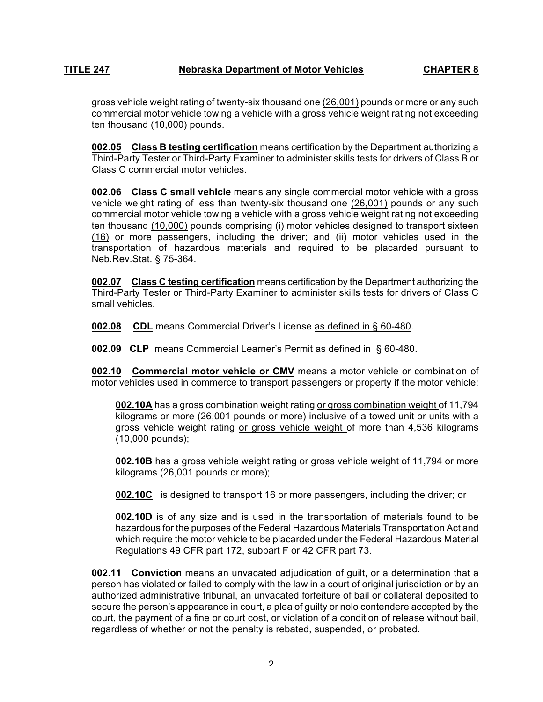gross vehicle weight rating of twenty-six thousand one (26,001) pounds or more or any such commercial motor vehicle towing a vehicle with a gross vehicle weight rating not exceeding ten thousand (10,000) pounds.

**002.05 Class B testing certification** means certification by the Department authorizing a Third-Party Tester or Third-Party Examiner to administer skills tests for drivers of Class B or Class C commercial motor vehicles.

**002.06 Class C small vehicle** means any single commercial motor vehicle with a gross vehicle weight rating of less than twenty-six thousand one (26,001) pounds or any such commercial motor vehicle towing a vehicle with a gross vehicle weight rating not exceeding ten thousand (10,000) pounds comprising (i) motor vehicles designed to transport sixteen (16) or more passengers, including the driver; and (ii) motor vehicles used in the transportation of hazardous materials and required to be placarded pursuant to Neb.Rev.Stat. § 75-364.

**002.07 Class C testing certification** means certification by the Department authorizing the Third-Party Tester or Third-Party Examiner to administer skills tests for drivers of Class C small vehicles.

**002.08 CDL** means Commercial Driver's License as defined in § 60-480.

## **002.09 CLP** means Commercial Learner's Permit as defined in § 60-480.

**002.10 Commercial motor vehicle or CMV** means a motor vehicle or combination of motor vehicles used in commerce to transport passengers or property if the motor vehicle:

**002.10A** has a gross combination weight rating or gross combination weight of 11,794 kilograms or more (26,001 pounds or more) inclusive of a towed unit or units with a gross vehicle weight rating or gross vehicle weight of more than 4,536 kilograms (10,000 pounds);

**002.10B** has a gross vehicle weight rating or gross vehicle weight of 11,794 or more kilograms (26,001 pounds or more);

**002.10C** is designed to transport 16 or more passengers, including the driver; or

**002.10D** is of any size and is used in the transportation of materials found to be hazardous for the purposes of the Federal Hazardous Materials Transportation Act and which require the motor vehicle to be placarded under the Federal Hazardous Material Regulations 49 CFR part 172, subpart F or 42 CFR part 73.

**002.11 Conviction** means an unvacated adjudication of guilt, or a determination that a person has violated or failed to comply with the law in a court of original jurisdiction or by an authorized administrative tribunal, an unvacated forfeiture of bail or collateral deposited to secure the person's appearance in court, a plea of guilty or nolo contendere accepted by the court, the payment of a fine or court cost, or violation of a condition of release without bail, regardless of whether or not the penalty is rebated, suspended, or probated.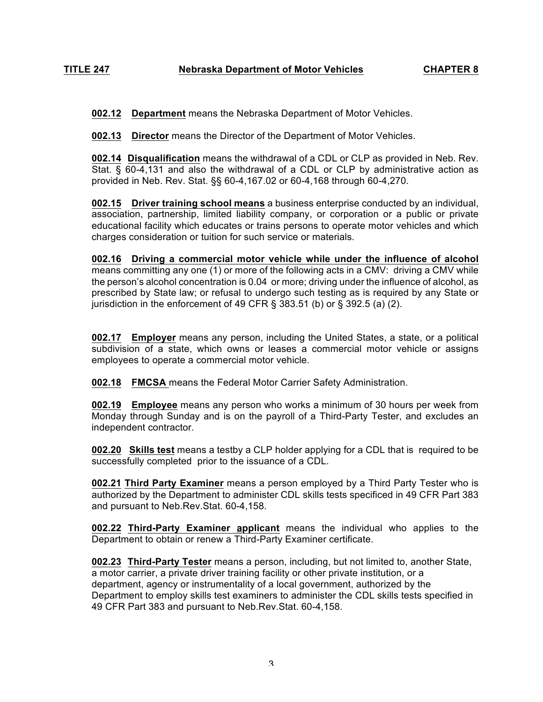**002.12 Department** means the Nebraska Department of Motor Vehicles.

**002.13 Director** means the Director of the Department of Motor Vehicles.

**002.14 Disqualification** means the withdrawal of a CDL or CLP as provided in Neb. Rev. Stat. § 60-4,131 and also the withdrawal of a CDL or CLP by administrative action as provided in Neb. Rev. Stat. §§ 60-4,167.02 or 60-4,168 through 60-4,270.

**002.15 Driver training school means** a business enterprise conducted by an individual, association, partnership, limited liability company, or corporation or a public or private educational facility which educates or trains persons to operate motor vehicles and which charges consideration or tuition for such service or materials.

**002.16 Driving a commercial motor vehicle while under the influence of alcohol** means committing any one (1) or more of the following acts in a CMV: driving a CMV while the person's alcohol concentration is 0.04 or more; driving under the influence of alcohol, as prescribed by State law; or refusal to undergo such testing as is required by any State or jurisdiction in the enforcement of 49 CFR  $\S$  383.51 (b) or  $\S$  392.5 (a) (2).

**002.17 Employer** means any person, including the United States, a state, or a political subdivision of a state, which owns or leases a commercial motor vehicle or assigns employees to operate a commercial motor vehicle.

**002.18 FMCSA** means the Federal Motor Carrier Safety Administration.

**002.19 Employee** means any person who works a minimum of 30 hours per week from Monday through Sunday and is on the payroll of a Third-Party Tester, and excludes an independent contractor.

**002.20 Skills test** means a testby a CLP holder applying for a CDL that is required to be successfully completed prior to the issuance of a CDL.

**002.21 Third Party Examiner** means a person employed by a Third Party Tester who is authorized by the Department to administer CDL skills tests specificed in 49 CFR Part 383 and pursuant to Neb.Rev.Stat. 60-4,158.

**002.22 Third-Party Examiner applicant** means the individual who applies to the Department to obtain or renew a Third-Party Examiner certificate.

**002.23 Third-Party Tester** means a person, including, but not limited to, another State, a motor carrier, a private driver training facility or other private institution, or a department, agency or instrumentality of a local government, authorized by the Department to employ skills test examiners to administer the CDL skills tests specified in 49 CFR Part 383 and pursuant to Neb.Rev.Stat. 60-4,158.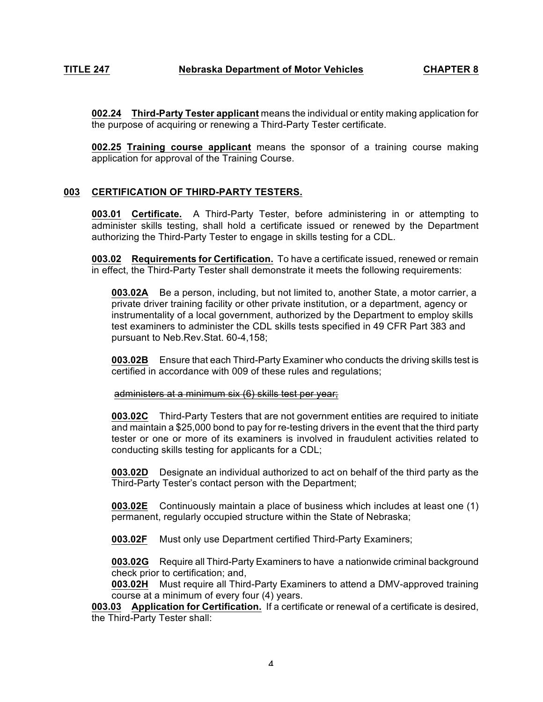**002.24 Third-Party Tester applicant** means the individual or entity making application for the purpose of acquiring or renewing a Third-Party Tester certificate.

**002.25 Training course applicant** means the sponsor of a training course making application for approval of the Training Course.

# **003 CERTIFICATION OF THIRD-PARTY TESTERS.**

**003.01 Certificate.** A Third-Party Tester, before administering in or attempting to administer skills testing, shall hold a certificate issued or renewed by the Department authorizing the Third-Party Tester to engage in skills testing for a CDL.

**003.02 Requirements for Certification.** To have a certificate issued, renewed or remain in effect, the Third-Party Tester shall demonstrate it meets the following requirements:

**003.02A** Be a person, including, but not limited to, another State, a motor carrier, a private driver training facility or other private institution, or a department, agency or instrumentality of a local government, authorized by the Department to employ skills test examiners to administer the CDL skills tests specified in 49 CFR Part 383 and pursuant to Neb.Rev.Stat. 60-4,158;

**003.02B** Ensure that each Third-Party Examiner who conducts the driving skills test is certified in accordance with 009 of these rules and regulations;

administers at a minimum six (6) skills test per year;

**003.02C** Third-Party Testers that are not government entities are required to initiate and maintain a \$25,000 bond to pay for re-testing drivers in the event that the third party tester or one or more of its examiners is involved in fraudulent activities related to conducting skills testing for applicants for a CDL;

**003.02D** Designate an individual authorized to act on behalf of the third party as the Third-Party Tester's contact person with the Department;

**003.02E** Continuously maintain a place of business which includes at least one (1) permanent, regularly occupied structure within the State of Nebraska;

**003.02F** Must only use Department certified Third-Party Examiners;

**003.02G** Require all Third-Party Examiners to have a nationwide criminal background check prior to certification; and,

**003.02H** Must require all Third-Party Examiners to attend a DMV-approved training course at a minimum of every four (4) years.

**003.03 Application for Certification.** If a certificate or renewal of a certificate is desired, the Third-Party Tester shall: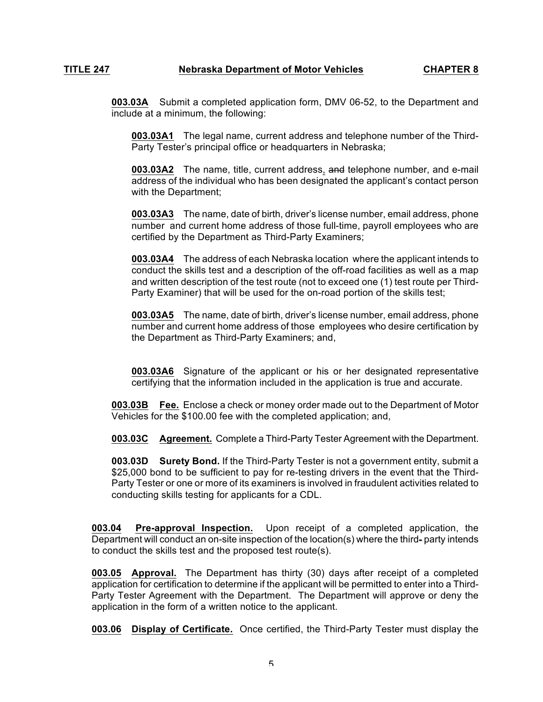**003.03A** Submit a completed application form, DMV 06-52, to the Department and include at a minimum, the following:

**003.03A1** The legal name, current address and telephone number of the Third-Party Tester's principal office or headquarters in Nebraska;

**003.03A2** The name, title, current address, and telephone number, and e-mail address of the individual who has been designated the applicant's contact person with the Department;

**003.03A3** The name, date of birth, driver's license number, email address, phone number and current home address of those full-time, payroll employees who are certified by the Department as Third-Party Examiners;

**003.03A4** The address of each Nebraska location where the applicant intends to conduct the skills test and a description of the off-road facilities as well as a map and written description of the test route (not to exceed one (1) test route per Third-Party Examiner) that will be used for the on-road portion of the skills test;

**003.03A5** The name, date of birth, driver's license number, email address, phone number and current home address of those employees who desire certification by the Department as Third-Party Examiners; and,

**003.03A6** Signature of the applicant or his or her designated representative certifying that the information included in the application is true and accurate.

**003.03B Fee.** Enclose a check or money order made out to the Department of Motor Vehicles for the \$100.00 fee with the completed application; and,

**003.03C Agreement.** Complete a Third-Party Tester Agreement with the Department.

**003.03D Surety Bond.** If the Third-Party Tester is not a government entity, submit a \$25,000 bond to be sufficient to pay for re-testing drivers in the event that the Third-Party Tester or one or more of its examiners is involved in fraudulent activities related to conducting skills testing for applicants for a CDL.

**003.04 Pre-approval Inspection.** Upon receipt of a completed application, the Department will conduct an on-site inspection of the location(s) where the third- party intends to conduct the skills test and the proposed test route(s).

**003.05 Approval.** The Department has thirty (30) days after receipt of a completed application for certification to determine if the applicant will be permitted to enter into a Third-Party Tester Agreement with the Department. The Department will approve or deny the application in the form of a written notice to the applicant.

**003.06 Display of Certificate.** Once certified, the Third-Party Tester must display the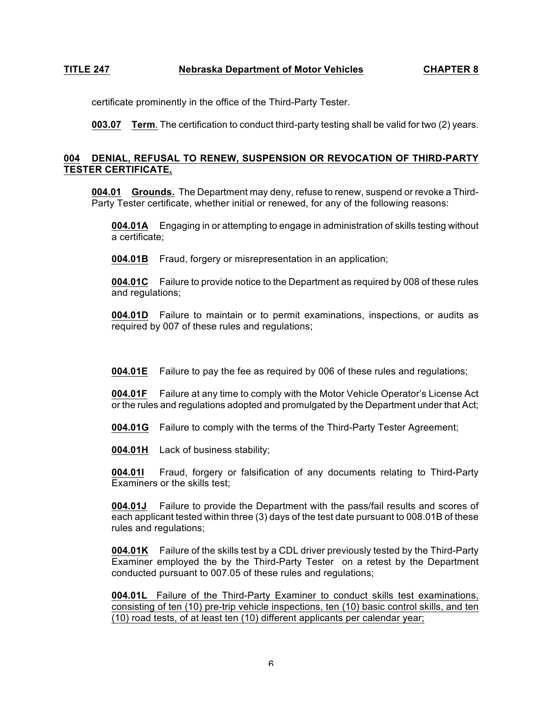certificate prominently in the office of the Third-Party Tester.

**003.07 Term**. The certification to conduct third-party testing shall be valid for two (2) years.

# **004 DENIAL, REFUSAL TO RENEW, SUSPENSION OR REVOCATION OF THIRD-PARTY TESTER CERTIFICATE.**

**004.01 Grounds.** The Department may deny, refuse to renew, suspend or revoke a Third-Party Tester certificate, whether initial or renewed, for any of the following reasons:

**004.01A** Engaging in or attempting to engage in administration of skills testing without a certificate;

**004.01B** Fraud, forgery or misrepresentation in an application;

**004.01C** Failure to provide notice to the Department as required by 008 of these rules and regulations;

**004.01D** Failure to maintain or to permit examinations, inspections, or audits as required by 007 of these rules and regulations;

**004.01E** Failure to pay the fee as required by 006 of these rules and regulations;

**004.01F** Failure at any time to comply with the Motor Vehicle Operator's License Act or the rules and regulations adopted and promulgated by the Department under that Act;

**004.01G** Failure to comply with the terms of the Third-Party Tester Agreement;

**004.01H** Lack of business stability;

**004.01I** Fraud, forgery or falsification of any documents relating to Third-Party Examiners or the skills test;

**004.01J** Failure to provide the Department with the pass/fail results and scores of each applicant tested within three (3) days of the test date pursuant to 008.01B of these rules and regulations;

**004.01K** Failure of the skills test by a CDL driver previously tested by the Third-Party Examiner employed the by the Third-Party Tester on a retest by the Department conducted pursuant to 007.05 of these rules and regulations;

**004.01L** Failure of the Third-Party Examiner to conduct skills test examinations, consisting of ten (10) pre-trip vehicle inspections, ten (10) basic control skills, and ten (10) road tests, of at least ten (10) different applicants per calendar year;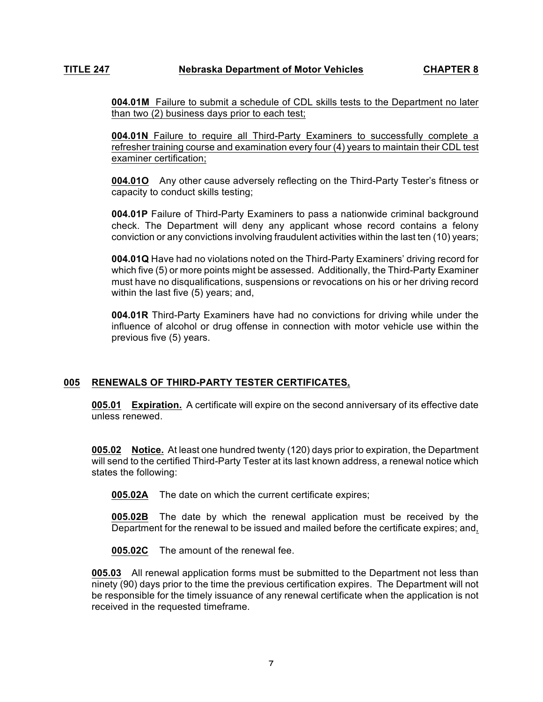**004.01M** Failure to submit a schedule of CDL skills tests to the Department no later than two (2) business days prior to each test;

**004.01N** Failure to require all Third-Party Examiners to successfully complete a refresher training course and examination every four (4) years to maintain their CDL test examiner certification;

**004.01O** Any other cause adversely reflecting on the Third-Party Tester's fitness or capacity to conduct skills testing;

**004.01P** Failure of Third-Party Examiners to pass a nationwide criminal background check. The Department will deny any applicant whose record contains a felony conviction or any convictions involving fraudulent activities within the last ten (10) years;

**004.01Q** Have had no violations noted on the Third-Party Examiners' driving record for which five (5) or more points might be assessed. Additionally, the Third-Party Examiner must have no disqualifications, suspensions or revocations on his or her driving record within the last five (5) years; and,

**004.01R** Third-Party Examiners have had no convictions for driving while under the influence of alcohol or drug offense in connection with motor vehicle use within the previous five (5) years.

# **005 RENEWALS OF THIRD-PARTY TESTER CERTIFICATES.**

**005.01 Expiration.** A certificate will expire on the second anniversary of its effective date unless renewed.

**005.02 Notice.** At least one hundred twenty (120) days prior to expiration, the Department will send to the certified Third-Party Tester at its last known address, a renewal notice which states the following:

**005.02A** The date on which the current certificate expires;

**005.02B** The date by which the renewal application must be received by the Department for the renewal to be issued and mailed before the certificate expires; and,

**005.02C** The amount of the renewal fee.

**005.03** All renewal application forms must be submitted to the Department not less than ninety (90) days prior to the time the previous certification expires. The Department will not be responsible for the timely issuance of any renewal certificate when the application is not received in the requested timeframe.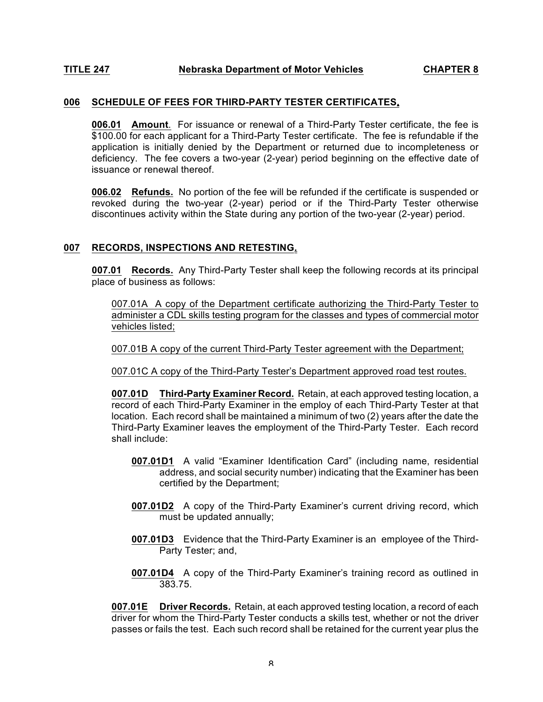#### **006 SCHEDULE OF FEES FOR THIRD-PARTY TESTER CERTIFICATES.**

**006.01 Amount**. For issuance or renewal of a Third-Party Tester certificate, the fee is \$100.00 for each applicant for a Third-Party Tester certificate. The fee is refundable if the application is initially denied by the Department or returned due to incompleteness or deficiency. The fee covers a two-year (2-year) period beginning on the effective date of issuance or renewal thereof.

**006.02 Refunds.** No portion of the fee will be refunded if the certificate is suspended or revoked during the two-year (2-year) period or if the Third-Party Tester otherwise discontinues activity within the State during any portion of the two-year (2-year) period.

## **007 RECORDS, INSPECTIONS AND RETESTING.**

**007.01 Records.** Any Third-Party Tester shall keep the following records at its principal place of business as follows:

007.01A A copy of the Department certificate authorizing the Third-Party Tester to administer a CDL skills testing program for the classes and types of commercial motor vehicles listed;

007.01B A copy of the current Third-Party Tester agreement with the Department;

007.01C A copy of the Third-Party Tester's Department approved road test routes.

**007.01D Third-Party Examiner Record.** Retain, at each approved testing location, a record of each Third-Party Examiner in the employ of each Third-Party Tester at that location. Each record shall be maintained a minimum of two (2) years after the date the Third-Party Examiner leaves the employment of the Third-Party Tester. Each record shall include:

- **007.01D1** A valid "Examiner Identification Card" (including name, residential address, and social security number) indicating that the Examiner has been certified by the Department;
- **007.01D2** A copy of the Third-Party Examiner's current driving record, which must be updated annually;
- **007.01D3** Evidence that the Third-Party Examiner is an employee of the Third-Party Tester; and,
- **007.01D4** A copy of the Third-Party Examiner's training record as outlined in 383.75.

**007.01E Driver Records.** Retain, at each approved testing location, a record of each driver for whom the Third-Party Tester conducts a skills test, whether or not the driver passes or fails the test. Each such record shall be retained for the current year plus the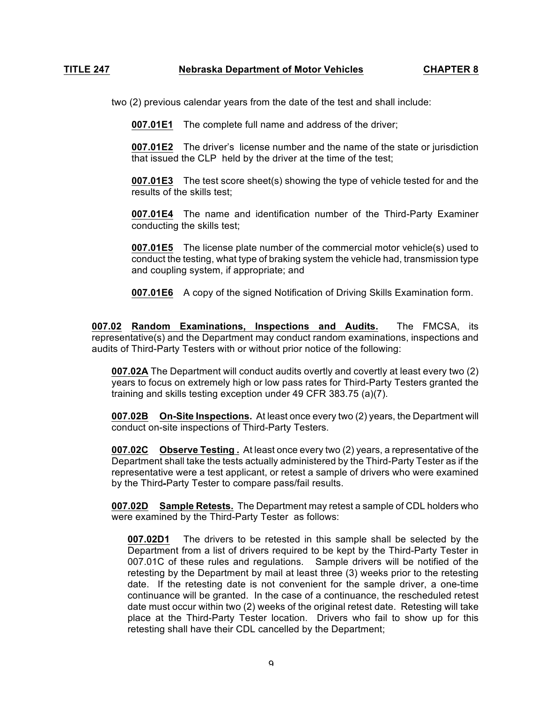two (2) previous calendar years from the date of the test and shall include:

**007.01E1** The complete full name and address of the driver;

**007.01E2** The driver's license number and the name of the state or jurisdiction that issued the CLP held by the driver at the time of the test;

**007.01E3** The test score sheet(s) showing the type of vehicle tested for and the results of the skills test;

**007.01E4** The name and identification number of the Third-Party Examiner conducting the skills test;

**007.01E5** The license plate number of the commercial motor vehicle(s) used to conduct the testing, what type of braking system the vehicle had, transmission type and coupling system, if appropriate; and

**007.01E6** A copy of the signed Notification of Driving Skills Examination form.

**007.02 Random Examinations, Inspections and Audits.** The FMCSA, its representative(s) and the Department may conduct random examinations, inspections and audits of Third-Party Testers with or without prior notice of the following:

**007.02A** The Department will conduct audits overtly and covertly at least every two (2) years to focus on extremely high or low pass rates for Third-Party Testers granted the training and skills testing exception under 49 CFR 383.75 (a)(7).

**007.02B On-Site Inspections.** At least once every two (2) years, the Department will conduct on-site inspections of Third-Party Testers.

**007.02C Observe Testing .** At least once every two (2) years, a representative of the Department shall take the tests actually administered by the Third-Party Tester as if the representative were a test applicant, or retest a sample of drivers who were examined by the Third-Party Tester to compare pass/fail results.

**007.02D Sample Retests.** The Department may retest a sample of CDL holders who were examined by the Third-Party Tester as follows:

**007.02D1** The drivers to be retested in this sample shall be selected by the Department from a list of drivers required to be kept by the Third-Party Tester in 007.01C of these rules and regulations. Sample drivers will be notified of the retesting by the Department by mail at least three (3) weeks prior to the retesting date. If the retesting date is not convenient for the sample driver, a one-time continuance will be granted. In the case of a continuance, the rescheduled retest date must occur within two (2) weeks of the original retest date. Retesting will take place at the Third-Party Tester location. Drivers who fail to show up for this retesting shall have their CDL cancelled by the Department;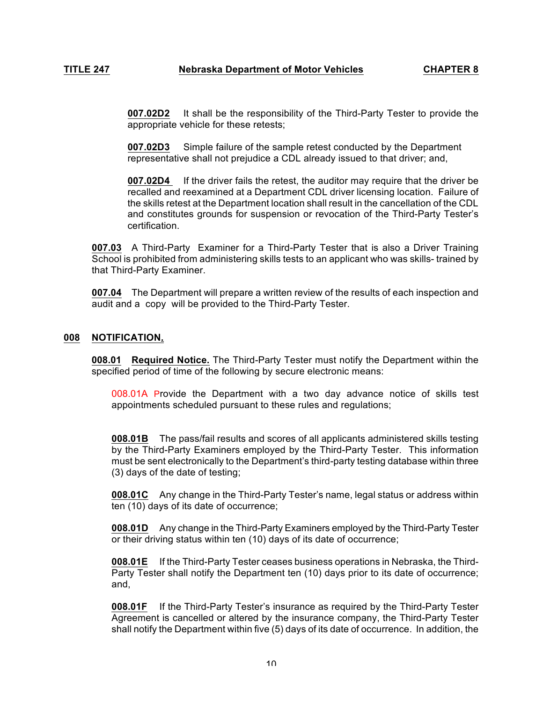**007.02D2** It shall be the responsibility of the Third-Party Tester to provide the appropriate vehicle for these retests;

**007.02D3** Simple failure of the sample retest conducted by the Department representative shall not prejudice a CDL already issued to that driver; and,

**007.02D4** If the driver fails the retest, the auditor may require that the driver be recalled and reexamined at a Department CDL driver licensing location. Failure of the skills retest at the Department location shall result in the cancellation of the CDL and constitutes grounds for suspension or revocation of the Third-Party Tester's certification.

**007.03** A Third-Party Examiner for a Third-Party Tester that is also a Driver Training School is prohibited from administering skills tests to an applicant who was skills- trained by that Third-Party Examiner.

**007.04** The Department will prepare a written review of the results of each inspection and audit and a copy will be provided to the Third-Party Tester.

# **008 NOTIFICATION.**

**008.01 Required Notice.** The Third-Party Tester must notify the Department within the specified period of time of the following by secure electronic means:

008.01A Provide the Department with a two day advance notice of skills test appointments scheduled pursuant to these rules and regulations;

**008.01B** The pass/fail results and scores of all applicants administered skills testing by the Third-Party Examiners employed by the Third-Party Tester. This information must be sent electronically to the Department's third-party testing database within three (3) days of the date of testing;

**008.01C** Any change in the Third-Party Tester's name, legal status or address within ten (10) days of its date of occurrence;

**008.01D** Any change in the Third-Party Examiners employed by the Third-Party Tester or their driving status within ten (10) days of its date of occurrence;

**008.01E** If the Third-Party Tester ceases business operations in Nebraska, the Third-Party Tester shall notify the Department ten (10) days prior to its date of occurrence; and,

**008.01F** If the Third-Party Tester's insurance as required by the Third-Party Tester Agreement is cancelled or altered by the insurance company, the Third-Party Tester shall notify the Department within five (5) days of its date of occurrence. In addition, the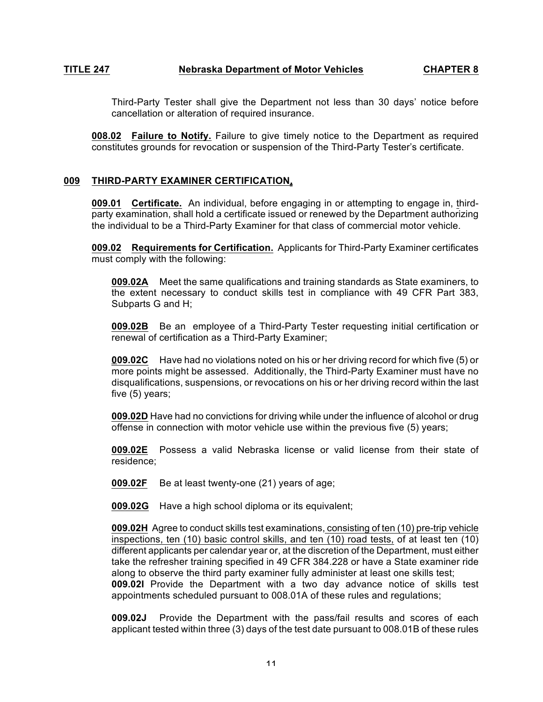Third-Party Tester shall give the Department not less than 30 days' notice before cancellation or alteration of required insurance.

**008.02 Failure to Notify.** Failure to give timely notice to the Department as required constitutes grounds for revocation or suspension of the Third-Party Tester's certificate.

# **009 THIRD-PARTY EXAMINER CERTIFICATION.**

**009.01 Certificate.** An individual, before engaging in or attempting to engage in, thirdparty examination, shall hold a certificate issued or renewed by the Department authorizing the individual to be a Third-Party Examiner for that class of commercial motor vehicle.

**009.02 Requirements for Certification.** Applicants for Third-Party Examiner certificates must comply with the following:

**009.02A** Meet the same qualifications and training standards as State examiners, to the extent necessary to conduct skills test in compliance with 49 CFR Part 383, Subparts G and H;

**009.02B** Be an employee of a Third-Party Tester requesting initial certification or renewal of certification as a Third-Party Examiner;

**009.02C** Have had no violations noted on his or her driving record for which five (5) or more points might be assessed. Additionally, the Third-Party Examiner must have no disqualifications, suspensions, or revocations on his or her driving record within the last five (5) years;

**009.02D** Have had no convictions for driving while under the influence of alcohol or drug offense in connection with motor vehicle use within the previous five (5) years;

**009.02E** Possess a valid Nebraska license or valid license from their state of residence;

**009.02F** Be at least twenty-one (21) years of age;

**009.02G** Have a high school diploma or its equivalent;

**009.02H** Agree to conduct skills test examinations, consisting of ten (10) pre-trip vehicle inspections, ten (10) basic control skills, and ten (10) road tests, of at least ten (10) different applicants per calendar year or, at the discretion of the Department, must either take the refresher training specified in 49 CFR 384.228 or have a State examiner ride along to observe the third party examiner fully administer at least one skills test; **009.02I** Provide the Department with a two day advance notice of skills test appointments scheduled pursuant to 008.01A of these rules and regulations;

**009.02J** Provide the Department with the pass/fail results and scores of each applicant tested within three (3) days of the test date pursuant to 008.01B of these rules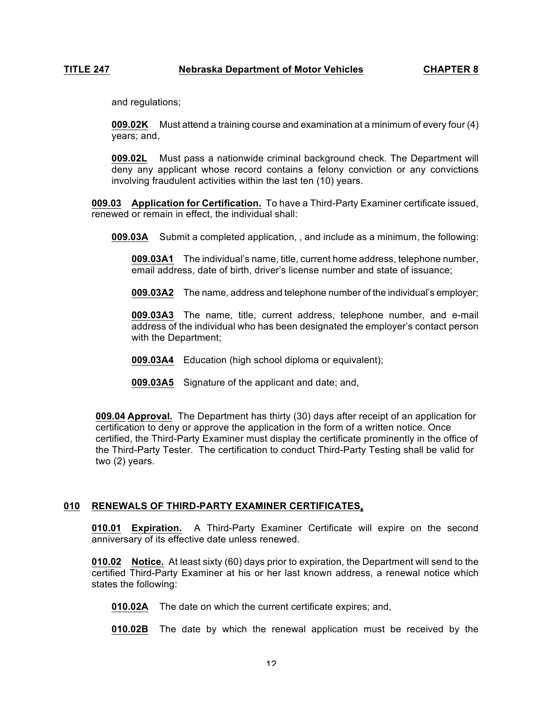and regulations;

**009.02K** Must attend a training course and examination at a minimum of every four (4) years; and,

**009.02L** Must pass a nationwide criminal background check. The Department will deny any applicant whose record contains a felony conviction or any convictions involving fraudulent activities within the last ten (10) years.

**009.03 Application for Certification.** To have a Third-Party Examiner certificate issued, renewed or remain in effect, the individual shall:

**009.03A** Submit a completed application, , and include as a minimum, the following:

**009.03A1** The individual's name, title, current home address, telephone number, email address, date of birth, driver's license number and state of issuance;

**009.03A2** The name, address and telephone number of the individual's employer;

**009.03A3** The name, title, current address, telephone number, and e-mail address of the individual who has been designated the employer's contact person with the Department;

- **009.03A4** Education (high school diploma or equivalent);
- **009.03A5** Signature of the applicant and date; and,

**009.04 Approval.** The Department has thirty (30) days after receipt of an application for certification to deny or approve the application in the form of a written notice. Once certified, the Third-Party Examiner must display the certificate prominently in the office of the Third-Party Tester. The certification to conduct Third-Party Testing shall be valid for two (2) years.

# **010 RENEWALS OF THIRD-PARTY EXAMINER CERTIFICATES.**

**010.01 Expiration.** A Third-Party Examiner Certificate will expire on the second anniversary of its effective date unless renewed.

**010.02 Notice.** At least sixty (60) days prior to expiration, the Department will send to the certified Third-Party Examiner at his or her last known address, a renewal notice which states the following:

**010.02A** The date on which the current certificate expires; and,

**010.02B** The date by which the renewal application must be received by the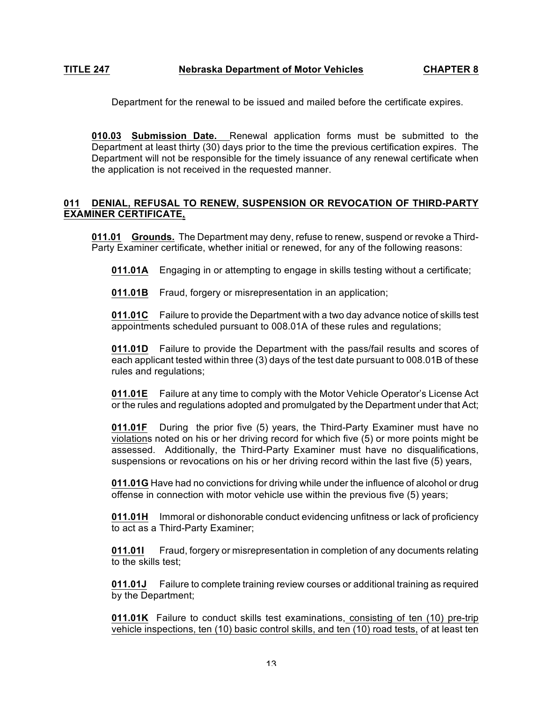Department for the renewal to be issued and mailed before the certificate expires.

**010.03 Submission Date.** Renewal application forms must be submitted to the Department at least thirty (30) days prior to the time the previous certification expires. The Department will not be responsible for the timely issuance of any renewal certificate when the application is not received in the requested manner.

# **011 DENIAL, REFUSAL TO RENEW, SUSPENSION OR REVOCATION OF THIRD-PARTY EXAMINER CERTIFICATE.**

**011.01 Grounds.** The Department may deny, refuse to renew, suspend or revoke a Third-Party Examiner certificate, whether initial or renewed, for any of the following reasons:

**011.01A** Engaging in or attempting to engage in skills testing without a certificate;

**011.01B** Fraud, forgery or misrepresentation in an application;

**011.01C** Failure to provide the Department with a two day advance notice of skills test appointments scheduled pursuant to 008.01A of these rules and regulations;

**011.01D** Failure to provide the Department with the pass/fail results and scores of each applicant tested within three (3) days of the test date pursuant to 008.01B of these rules and regulations;

**011.01E** Failure at any time to comply with the Motor Vehicle Operator's License Act or the rules and regulations adopted and promulgated by the Department under that Act;

**011.01F** During the prior five (5) years, the Third-Party Examiner must have no violations noted on his or her driving record for which five (5) or more points might be assessed. Additionally, the Third-Party Examiner must have no disqualifications, suspensions or revocations on his or her driving record within the last five (5) years,

**011.01G** Have had no convictions for driving while under the influence of alcohol or drug offense in connection with motor vehicle use within the previous five (5) years;

**011.01H** Immoral or dishonorable conduct evidencing unfitness or lack of proficiency to act as a Third-Party Examiner;

**011.01I** Fraud, forgery or misrepresentation in completion of any documents relating to the skills test;

**011.01J** Failure to complete training review courses or additional training as required by the Department;

**011.01K** Failure to conduct skills test examinations, consisting of ten (10) pre-trip vehicle inspections, ten (10) basic control skills, and ten (10) road tests, of at least ten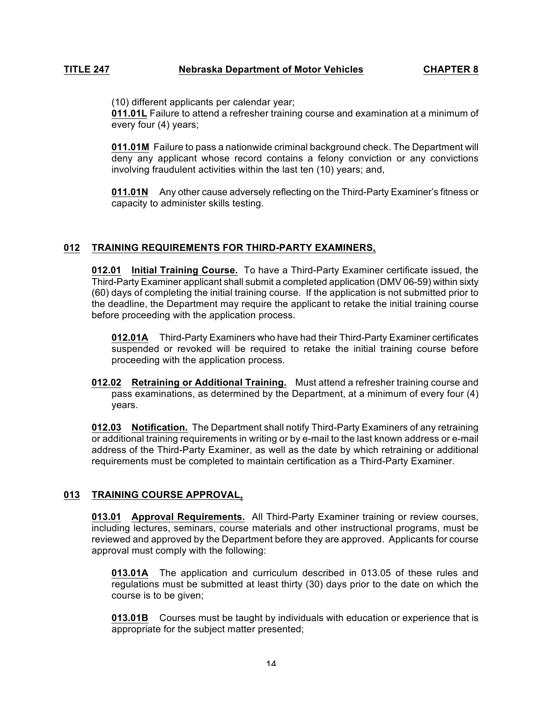(10) different applicants per calendar year;

**011.01L** Failure to attend a refresher training course and examination at a minimum of every four (4) years;

**011.01M** Failure to pass a nationwide criminal background check. The Department will deny any applicant whose record contains a felony conviction or any convictions involving fraudulent activities within the last ten (10) years; and,

**011.01N** Any other cause adversely reflecting on the Third-Party Examiner's fitness or capacity to administer skills testing.

# **012 TRAINING REQUIREMENTS FOR THIRD-PARTY EXAMINERS.**

**012.01 Initial Training Course.** To have a Third-Party Examiner certificate issued, the Third-Party Examiner applicant shall submit a completed application (DMV 06-59) within sixty (60) days of completing the initial training course. If the application is not submitted prior to the deadline, the Department may require the applicant to retake the initial training course before proceeding with the application process.

**012.01A** Third-Party Examiners who have had their Third-Party Examiner certificates suspended or revoked will be required to retake the initial training course before proceeding with the application process.

**012.02 Retraining or Additional Training.** Must attend a refresher training course and pass examinations, as determined by the Department, at a minimum of every four (4) years.

**012.03 Notification.** The Department shall notify Third-Party Examiners of any retraining or additional training requirements in writing or by e-mail to the last known address or e-mail address of the Third-Party Examiner, as well as the date by which retraining or additional requirements must be completed to maintain certification as a Third-Party Examiner.

# **013 TRAINING COURSE APPROVAL.**

**013.01 Approval Requirements.** All Third-Party Examiner training or review courses, including lectures, seminars, course materials and other instructional programs, must be reviewed and approved by the Department before they are approved. Applicants for course approval must comply with the following:

**013.01A** The application and curriculum described in 013.05 of these rules and regulations must be submitted at least thirty (30) days prior to the date on which the course is to be given;

**013.01B** Courses must be taught by individuals with education or experience that is appropriate for the subject matter presented;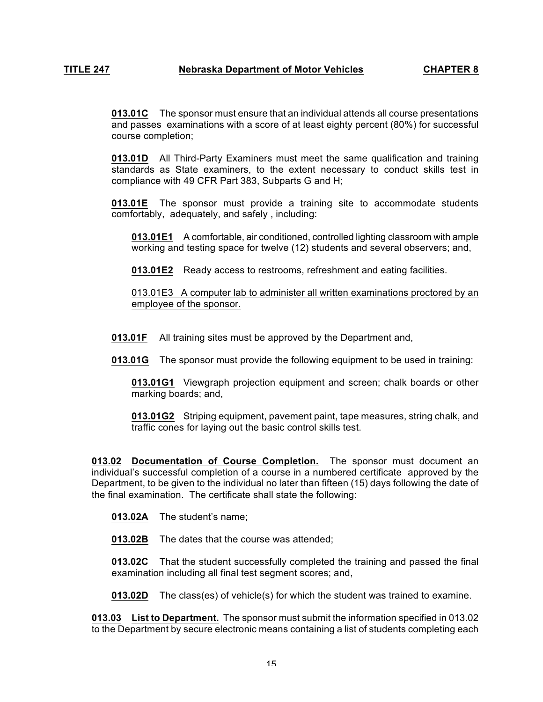**013.01C** The sponsor must ensure that an individual attends all course presentations and passes examinations with a score of at least eighty percent (80%) for successful course completion;

**013.01D** All Third-Party Examiners must meet the same qualification and training standards as State examiners, to the extent necessary to conduct skills test in compliance with 49 CFR Part 383, Subparts G and H;

**013.01E** The sponsor must provide a training site to accommodate students comfortably, adequately, and safely , including:

**013.01E1** A comfortable, air conditioned, controlled lighting classroom with ample working and testing space for twelve (12) students and several observers; and,

**013.01E2** Ready access to restrooms, refreshment and eating facilities.

013.01E3 A computer lab to administer all written examinations proctored by an employee of the sponsor.

**013.01F** All training sites must be approved by the Department and,

**013.01G** The sponsor must provide the following equipment to be used in training:

**013.01G1** Viewgraph projection equipment and screen; chalk boards or other marking boards; and,

**013.01G2** Striping equipment, pavement paint, tape measures, string chalk, and traffic cones for laying out the basic control skills test.

**013.02 Documentation of Course Completion.** The sponsor must document an individual's successful completion of a course in a numbered certificate approved by the Department, to be given to the individual no later than fifteen (15) days following the date of the final examination. The certificate shall state the following:

**013.02A** The student's name;

**013.02B** The dates that the course was attended;

**013.02C** That the student successfully completed the training and passed the final examination including all final test segment scores; and,

**013.02D** The class(es) of vehicle(s) for which the student was trained to examine.

**013.03 List to Department.** The sponsor must submit the information specified in 013.02 to the Department by secure electronic means containing a list of students completing each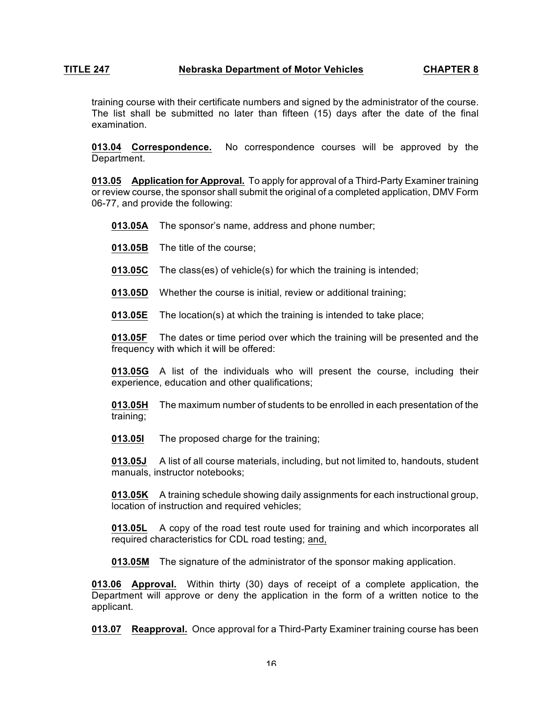training course with their certificate numbers and signed by the administrator of the course. The list shall be submitted no later than fifteen (15) days after the date of the final examination.

**013.04 Correspondence.** No correspondence courses will be approved by the Department.

**013.05 Application for Approval.** To apply for approval of a Third-Party Examiner training or review course, the sponsor shall submit the original of a completed application, DMV Form 06-77, and provide the following:

- **013.05A** The sponsor's name, address and phone number;
- **013.05B** The title of the course;
- **013.05C** The class(es) of vehicle(s) for which the training is intended;

**013.05D** Whether the course is initial, review or additional training;

**013.05E** The location(s) at which the training is intended to take place;

**013.05F** The dates or time period over which the training will be presented and the frequency with which it will be offered:

**013.05G** A list of the individuals who will present the course, including their experience, education and other qualifications;

**013.05H** The maximum number of students to be enrolled in each presentation of the training;

**013.05I** The proposed charge for the training;

**013.05J** A list of all course materials, including, but not limited to, handouts, student manuals, instructor notebooks;

**013.05K** A training schedule showing daily assignments for each instructional group, location of instruction and required vehicles;

**013.05L** A copy of the road test route used for training and which incorporates all required characteristics for CDL road testing; and,

**013.05M** The signature of the administrator of the sponsor making application.

**013.06 Approval.** Within thirty (30) days of receipt of a complete application, the Department will approve or deny the application in the form of a written notice to the applicant.

**013.07 Reapproval.** Once approval for a Third-Party Examiner training course has been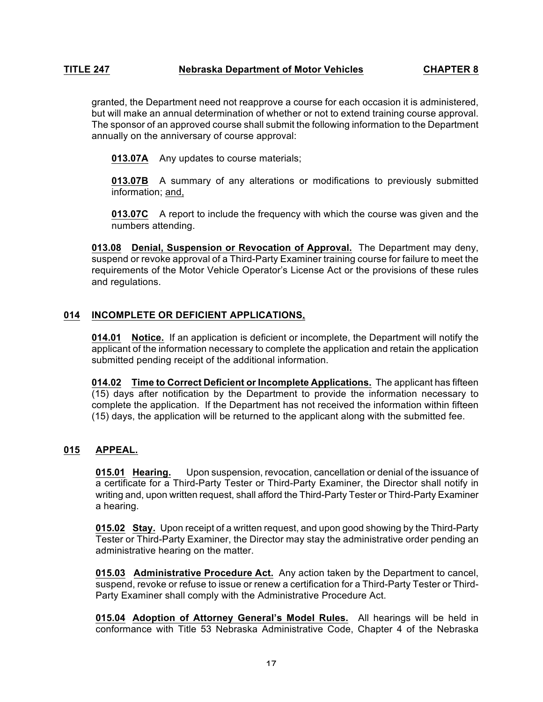granted, the Department need not reapprove a course for each occasion it is administered, but will make an annual determination of whether or not to extend training course approval. The sponsor of an approved course shall submit the following information to the Department annually on the anniversary of course approval:

**013.07A** Any updates to course materials;

**013.07B** A summary of any alterations or modifications to previously submitted information; and,

**013.07C** A report to include the frequency with which the course was given and the numbers attending.

**013.08 Denial, Suspension or Revocation of Approval.** The Department may deny, suspend or revoke approval of a Third-Party Examiner training course for failure to meet the requirements of the Motor Vehicle Operator's License Act or the provisions of these rules and regulations.

# **014 INCOMPLETE OR DEFICIENT APPLICATIONS.**

**014.01 Notice.** If an application is deficient or incomplete, the Department will notify the applicant of the information necessary to complete the application and retain the application submitted pending receipt of the additional information.

**014.02 Time to Correct Deficient or Incomplete Applications.** The applicant has fifteen (15) days after notification by the Department to provide the information necessary to complete the application. If the Department has not received the information within fifteen (15) days, the application will be returned to the applicant along with the submitted fee.

# **015 APPEAL.**

**015.01 Hearing.** Upon suspension, revocation, cancellation or denial of the issuance of a certificate for a Third-Party Tester or Third-Party Examiner, the Director shall notify in writing and, upon written request, shall afford the Third-Party Tester or Third-Party Examiner a hearing.

**015.02 Stay.** Upon receipt of a written request, and upon good showing by the Third-Party Tester or Third-Party Examiner, the Director may stay the administrative order pending an administrative hearing on the matter.

**015.03 Administrative Procedure Act.** Any action taken by the Department to cancel, suspend, revoke or refuse to issue or renew a certification for a Third-Party Tester or Third-Party Examiner shall comply with the Administrative Procedure Act.

**015.04 Adoption of Attorney General's Model Rules.** All hearings will be held in conformance with Title 53 Nebraska Administrative Code, Chapter 4 of the Nebraska